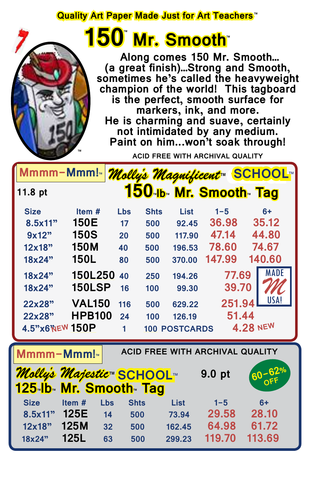### **Quality Art Paper Made Just for Art Teachers**™

## **150 Mr. Smooth** ™ ™

™

 **Along comes 150 Mr. Smooth… (a great finish)…Strong and Smooth, sometimes he's called the heavyweight champion of the world! This tagboard is the perfect, smooth surface for markers, ink, and more. He is charming and suave, certainly not intimidated by any medium. Paint on him...won't soak through!**

**ACID FREE WITH ARCHIVAL QUALITY**

|                                                                  | Mmmm-Mmm! <sub>™</sub>                                           |             |             |                      |                              | Molly's Magnificent SCHOOL |  |
|------------------------------------------------------------------|------------------------------------------------------------------|-------------|-------------|----------------------|------------------------------|----------------------------|--|
| 11.8 pt                                                          |                                                                  |             |             |                      | <b>150 Ib Mr. Smooth Tag</b> |                            |  |
| <b>Size</b>                                                      | Item#                                                            | <b>Lbs</b>  | <b>Shts</b> | <b>List</b>          | $1 - 5$                      | $6+$                       |  |
| 8.5x11"                                                          | 150E                                                             | 17          | 500         | 92.45                | 36.98                        | 35.12                      |  |
| 9x12"                                                            | <b>150S</b>                                                      | 20          | 500         | 117.90               | 47.14                        | 44.80                      |  |
| 12x18"                                                           | <b>150M</b>                                                      | 40          | 500         | 196.53               | 78.60                        | 74.67                      |  |
| 18x24"                                                           | 150L                                                             | 80          | 500         | 370.00               | 147.99                       | 140.60                     |  |
| 18x24"                                                           | <b>150L250</b>                                                   | 40          | 250         | 194.26               | 77.69                        | <b>MADE</b>                |  |
| 18x24"                                                           | <b>150LSP</b>                                                    | 16          | 100         | 99.30                | 39.70                        |                            |  |
| 22x28"                                                           | <b>VAL150</b>                                                    | 116         | 500         | 629.22               | 251.94                       | USA!                       |  |
| 22x28"                                                           | <b>HPB100</b>                                                    | 24          | 100         | 126.19               | 51.44                        |                            |  |
| 4.5" X6"NEW 150P                                                 |                                                                  | 1           |             | <b>100 POSTCARDS</b> |                              | <b>4.28 NEW</b>            |  |
| <b>ACID FREE WITH ARCHIVAL QUALITY</b><br>Mmmm-Mmm! <sub>™</sub> |                                                                  |             |             |                      |                              |                            |  |
|                                                                  | <i><b>Molly's Majestic™ SCHOOL™</b></i><br>125 Ib Mr. Smooth Tag |             |             |                      | 9.0 pt                       | $60 - 62%$                 |  |
|                                                                  |                                                                  |             |             |                      |                              |                            |  |
| <b>Size</b>                                                      | Item#<br><b>Lbs</b>                                              | <b>Shts</b> |             | <b>List</b>          | $1 - 5$                      | $6+$                       |  |
| 8.5x11"                                                          | 125E<br>14                                                       | 500         |             | 73.94                | 29.58                        | 28.10                      |  |
| 12x18"                                                           | <b>125M</b><br>32                                                | 500         |             | 162.45               | 64.98                        | 61.72                      |  |
| 18x24"                                                           | <b>125L</b><br>63                                                | 500         |             | 299.23               | 119.70                       | 113.69                     |  |